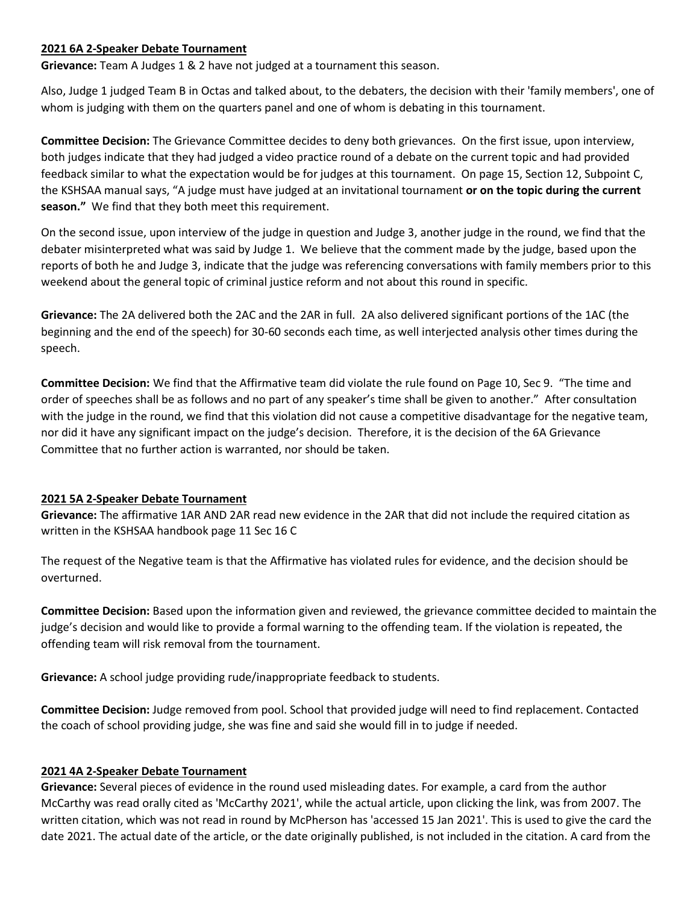#### **2021 6A 2-Speaker Debate Tournament**

**Grievance:** Team A Judges 1 & 2 have not judged at a tournament this season.

Also, Judge 1 judged Team B in Octas and talked about, to the debaters, the decision with their 'family members', one of whom is judging with them on the quarters panel and one of whom is debating in this tournament.

**Committee Decision:** The Grievance Committee decides to deny both grievances. On the first issue, upon interview, both judges indicate that they had judged a video practice round of a debate on the current topic and had provided feedback similar to what the expectation would be for judges at this tournament. On page 15, Section 12, Subpoint C, the KSHSAA manual says, "A judge must have judged at an invitational tournament **or on the topic during the current season."** We find that they both meet this requirement.

On the second issue, upon interview of the judge in question and Judge 3, another judge in the round, we find that the debater misinterpreted what was said by Judge 1. We believe that the comment made by the judge, based upon the reports of both he and Judge 3, indicate that the judge was referencing conversations with family members prior to this weekend about the general topic of criminal justice reform and not about this round in specific.

**Grievance:** The 2A delivered both the 2AC and the 2AR in full. 2A also delivered significant portions of the 1AC (the beginning and the end of the speech) for 30-60 seconds each time, as well interjected analysis other times during the speech.

**Committee Decision:** We find that the Affirmative team did violate the rule found on Page 10, Sec 9. "The time and order of speeches shall be as follows and no part of any speaker's time shall be given to another." After consultation with the judge in the round, we find that this violation did not cause a competitive disadvantage for the negative team, nor did it have any significant impact on the judge's decision. Therefore, it is the decision of the 6A Grievance Committee that no further action is warranted, nor should be taken.

# **2021 5A 2-Speaker Debate Tournament**

**Grievance:** The affirmative 1AR AND 2AR read new evidence in the 2AR that did not include the required citation as written in the KSHSAA handbook page 11 Sec 16 C

The request of the Negative team is that the Affirmative has violated rules for evidence, and the decision should be overturned.

**Committee Decision:** Based upon the information given and reviewed, the grievance committee decided to maintain the judge's decision and would like to provide a formal warning to the offending team. If the violation is repeated, the offending team will risk removal from the tournament.

**Grievance:** A school judge providing rude/inappropriate feedback to students.

**Committee Decision:** Judge removed from pool. School that provided judge will need to find replacement. Contacted the coach of school providing judge, she was fine and said she would fill in to judge if needed.

# **2021 4A 2-Speaker Debate Tournament**

**Grievance:** Several pieces of evidence in the round used misleading dates. For example, a card from the author McCarthy was read orally cited as 'McCarthy 2021', while the actual article, upon clicking the link, was from 2007. The written citation, which was not read in round by McPherson has 'accessed 15 Jan 2021'. This is used to give the card the date 2021. The actual date of the article, or the date originally published, is not included in the citation. A card from the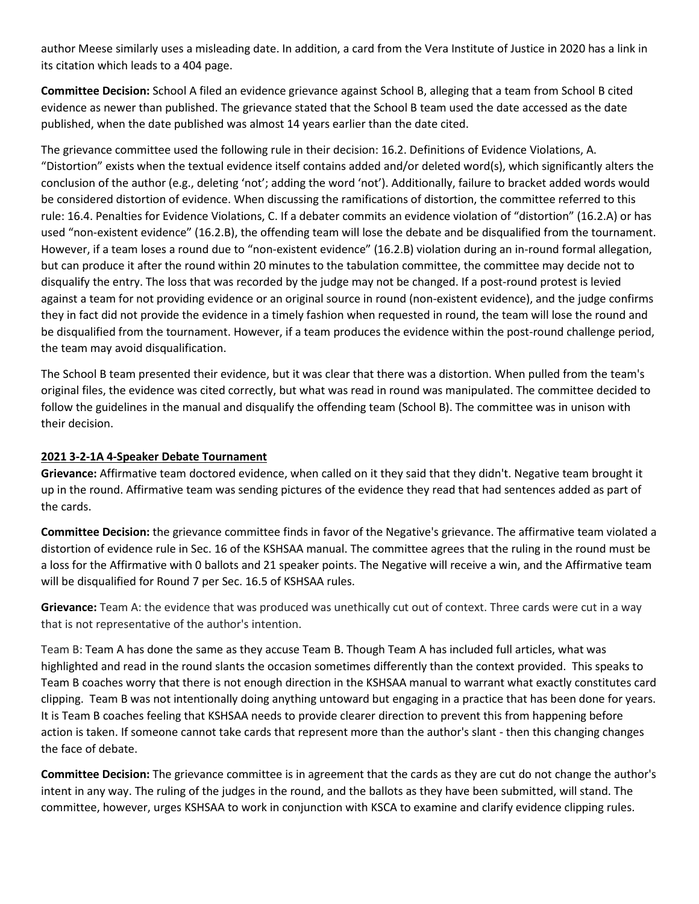author Meese similarly uses a misleading date. In addition, a card from the Vera Institute of Justice in 2020 has a link in its citation which leads to a 404 page.

**Committee Decision:** School A filed an evidence grievance against School B, alleging that a team from School B cited evidence as newer than published. The grievance stated that the School B team used the date accessed as the date published, when the date published was almost 14 years earlier than the date cited.

The grievance committee used the following rule in their decision: 16.2. Definitions of Evidence Violations, A. "Distortion" exists when the textual evidence itself contains added and/or deleted word(s), which significantly alters the conclusion of the author (e.g., deleting 'not'; adding the word 'not'). Additionally, failure to bracket added words would be considered distortion of evidence. When discussing the ramifications of distortion, the committee referred to this rule: 16.4. Penalties for Evidence Violations, C. If a debater commits an evidence violation of "distortion" (16.2.A) or has used "non-existent evidence" (16.2.B), the offending team will lose the debate and be disqualified from the tournament. However, if a team loses a round due to "non-existent evidence" (16.2.B) violation during an in-round formal allegation, but can produce it after the round within 20 minutes to the tabulation committee, the committee may decide not to disqualify the entry. The loss that was recorded by the judge may not be changed. If a post-round protest is levied against a team for not providing evidence or an original source in round (non-existent evidence), and the judge confirms they in fact did not provide the evidence in a timely fashion when requested in round, the team will lose the round and be disqualified from the tournament. However, if a team produces the evidence within the post-round challenge period, the team may avoid disqualification.

The School B team presented their evidence, but it was clear that there was a distortion. When pulled from the team's original files, the evidence was cited correctly, but what was read in round was manipulated. The committee decided to follow the guidelines in the manual and disqualify the offending team (School B). The committee was in unison with their decision.

### **2021 3-2-1A 4-Speaker Debate Tournament**

**Grievance:** Affirmative team doctored evidence, when called on it they said that they didn't. Negative team brought it up in the round. Affirmative team was sending pictures of the evidence they read that had sentences added as part of the cards.

**Committee Decision:** the grievance committee finds in favor of the Negative's grievance. The affirmative team violated a distortion of evidence rule in Sec. 16 of the KSHSAA manual. The committee agrees that the ruling in the round must be a loss for the Affirmative with 0 ballots and 21 speaker points. The Negative will receive a win, and the Affirmative team will be disqualified for Round 7 per Sec. 16.5 of KSHSAA rules.

**Grievance:** Team A: the evidence that was produced was unethically cut out of context. Three cards were cut in a way that is not representative of the author's intention.

Team B: Team A has done the same as they accuse Team B. Though Team A has included full articles, what was highlighted and read in the round slants the occasion sometimes differently than the context provided. This speaks to Team B coaches worry that there is not enough direction in the KSHSAA manual to warrant what exactly constitutes card clipping. Team B was not intentionally doing anything untoward but engaging in a practice that has been done for years. It is Team B coaches feeling that KSHSAA needs to provide clearer direction to prevent this from happening before action is taken. If someone cannot take cards that represent more than the author's slant - then this changing changes the face of debate.

**Committee Decision:** The grievance committee is in agreement that the cards as they are cut do not change the author's intent in any way. The ruling of the judges in the round, and the ballots as they have been submitted, will stand. The committee, however, urges KSHSAA to work in conjunction with KSCA to examine and clarify evidence clipping rules.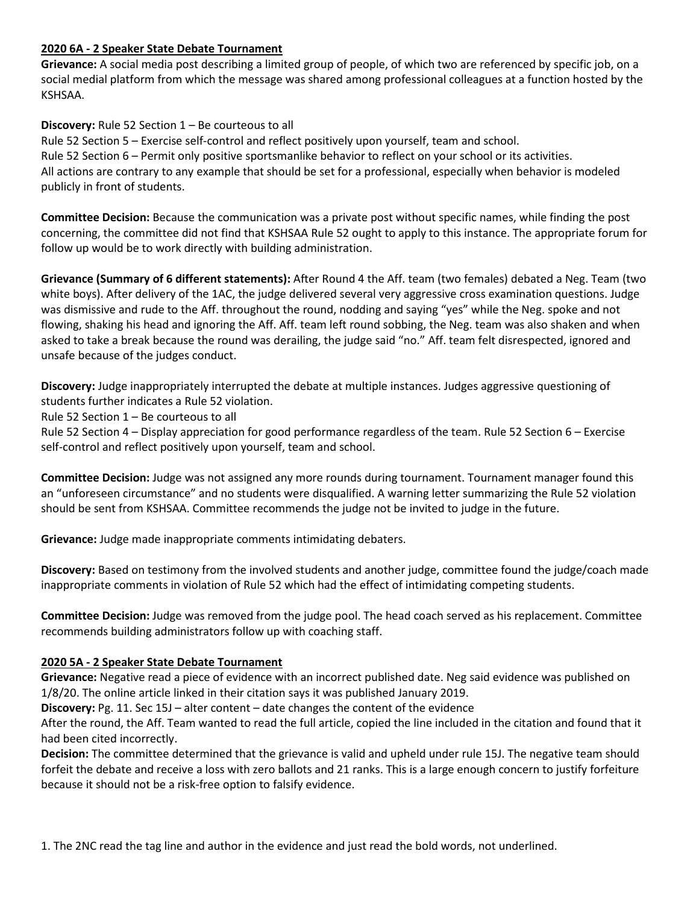#### **2020 6A - 2 Speaker State Debate Tournament**

**Grievance:** A social media post describing a limited group of people, of which two are referenced by specific job, on a social medial platform from which the message was shared among professional colleagues at a function hosted by the KSHSAA.

### **Discovery:** Rule 52 Section 1 – Be courteous to all

Rule 52 Section 5 – Exercise self-control and reflect positively upon yourself, team and school. Rule 52 Section 6 – Permit only positive sportsmanlike behavior to reflect on your school or its activities. All actions are contrary to any example that should be set for a professional, especially when behavior is modeled publicly in front of students.

**Committee Decision:** Because the communication was a private post without specific names, while finding the post concerning, the committee did not find that KSHSAA Rule 52 ought to apply to this instance. The appropriate forum for follow up would be to work directly with building administration.

**Grievance (Summary of 6 different statements):** After Round 4 the Aff. team (two females) debated a Neg. Team (two white boys). After delivery of the 1AC, the judge delivered several very aggressive cross examination questions. Judge was dismissive and rude to the Aff. throughout the round, nodding and saying "yes" while the Neg. spoke and not flowing, shaking his head and ignoring the Aff. Aff. team left round sobbing, the Neg. team was also shaken and when asked to take a break because the round was derailing, the judge said "no." Aff. team felt disrespected, ignored and unsafe because of the judges conduct.

**Discovery:** Judge inappropriately interrupted the debate at multiple instances. Judges aggressive questioning of students further indicates a Rule 52 violation.

Rule 52 Section 1 – Be courteous to all

Rule 52 Section 4 – Display appreciation for good performance regardless of the team. Rule 52 Section 6 – Exercise self-control and reflect positively upon yourself, team and school.

**Committee Decision:** Judge was not assigned any more rounds during tournament. Tournament manager found this an "unforeseen circumstance" and no students were disqualified. A warning letter summarizing the Rule 52 violation should be sent from KSHSAA. Committee recommends the judge not be invited to judge in the future.

**Grievance:** Judge made inappropriate comments intimidating debaters.

**Discovery:** Based on testimony from the involved students and another judge, committee found the judge/coach made inappropriate comments in violation of Rule 52 which had the effect of intimidating competing students.

**Committee Decision:** Judge was removed from the judge pool. The head coach served as his replacement. Committee recommends building administrators follow up with coaching staff.

# **2020 5A - 2 Speaker State Debate Tournament**

**Grievance:** Negative read a piece of evidence with an incorrect published date. Neg said evidence was published on 1/8/20. The online article linked in their citation says it was published January 2019.

**Discovery:** Pg. 11. Sec 15J – alter content – date changes the content of the evidence

After the round, the Aff. Team wanted to read the full article, copied the line included in the citation and found that it had been cited incorrectly.

**Decision:** The committee determined that the grievance is valid and upheld under rule 15J. The negative team should forfeit the debate and receive a loss with zero ballots and 21 ranks. This is a large enough concern to justify forfeiture because it should not be a risk-free option to falsify evidence.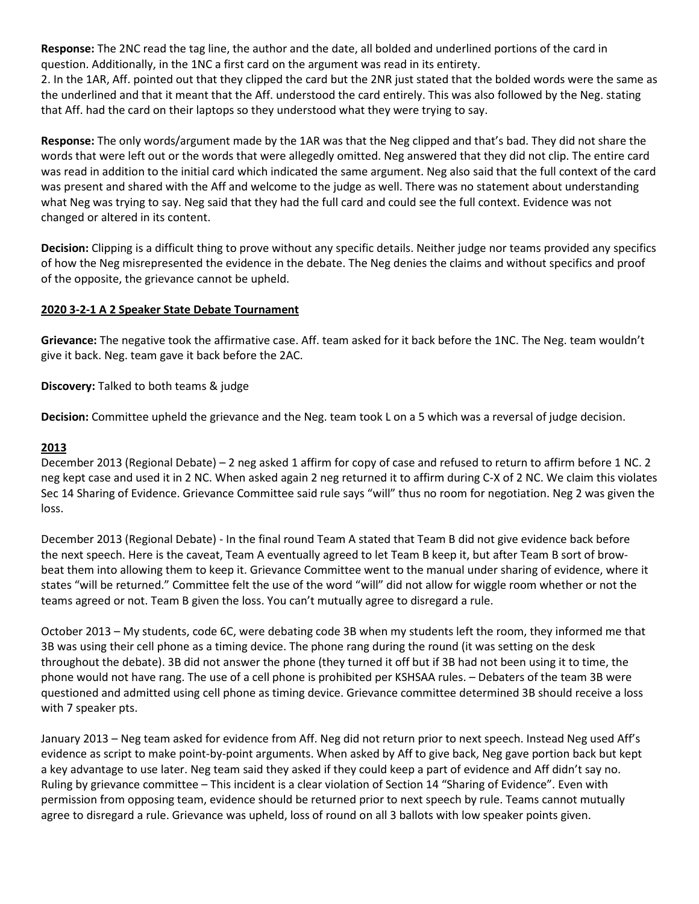**Response:** The 2NC read the tag line, the author and the date, all bolded and underlined portions of the card in question. Additionally, in the 1NC a first card on the argument was read in its entirety.

2. In the 1AR, Aff. pointed out that they clipped the card but the 2NR just stated that the bolded words were the same as the underlined and that it meant that the Aff. understood the card entirely. This was also followed by the Neg. stating that Aff. had the card on their laptops so they understood what they were trying to say.

**Response:** The only words/argument made by the 1AR was that the Neg clipped and that's bad. They did not share the words that were left out or the words that were allegedly omitted. Neg answered that they did not clip. The entire card was read in addition to the initial card which indicated the same argument. Neg also said that the full context of the card was present and shared with the Aff and welcome to the judge as well. There was no statement about understanding what Neg was trying to say. Neg said that they had the full card and could see the full context. Evidence was not changed or altered in its content.

**Decision:** Clipping is a difficult thing to prove without any specific details. Neither judge nor teams provided any specifics of how the Neg misrepresented the evidence in the debate. The Neg denies the claims and without specifics and proof of the opposite, the grievance cannot be upheld.

### **2020 3-2-1 A 2 Speaker State Debate Tournament**

**Grievance:** The negative took the affirmative case. Aff. team asked for it back before the 1NC. The Neg. team wouldn't give it back. Neg. team gave it back before the 2AC.

**Discovery:** Talked to both teams & judge

**Decision:** Committee upheld the grievance and the Neg. team took L on a 5 which was a reversal of judge decision.

#### **2013**

December 2013 (Regional Debate) – 2 neg asked 1 affirm for copy of case and refused to return to affirm before 1 NC. 2 neg kept case and used it in 2 NC. When asked again 2 neg returned it to affirm during C-X of 2 NC. We claim this violates Sec 14 Sharing of Evidence. Grievance Committee said rule says "will" thus no room for negotiation. Neg 2 was given the loss.

December 2013 (Regional Debate) - In the final round Team A stated that Team B did not give evidence back before the next speech. Here is the caveat, Team A eventually agreed to let Team B keep it, but after Team B sort of browbeat them into allowing them to keep it. Grievance Committee went to the manual under sharing of evidence, where it states "will be returned." Committee felt the use of the word "will" did not allow for wiggle room whether or not the teams agreed or not. Team B given the loss. You can't mutually agree to disregard a rule.

October 2013 – My students, code 6C, were debating code 3B when my students left the room, they informed me that 3B was using their cell phone as a timing device. The phone rang during the round (it was setting on the desk throughout the debate). 3B did not answer the phone (they turned it off but if 3B had not been using it to time, the phone would not have rang. The use of a cell phone is prohibited per KSHSAA rules. – Debaters of the team 3B were questioned and admitted using cell phone as timing device. Grievance committee determined 3B should receive a loss with 7 speaker pts.

January 2013 – Neg team asked for evidence from Aff. Neg did not return prior to next speech. Instead Neg used Aff's evidence as script to make point-by-point arguments. When asked by Aff to give back, Neg gave portion back but kept a key advantage to use later. Neg team said they asked if they could keep a part of evidence and Aff didn't say no. Ruling by grievance committee – This incident is a clear violation of Section 14 "Sharing of Evidence". Even with permission from opposing team, evidence should be returned prior to next speech by rule. Teams cannot mutually agree to disregard a rule. Grievance was upheld, loss of round on all 3 ballots with low speaker points given.